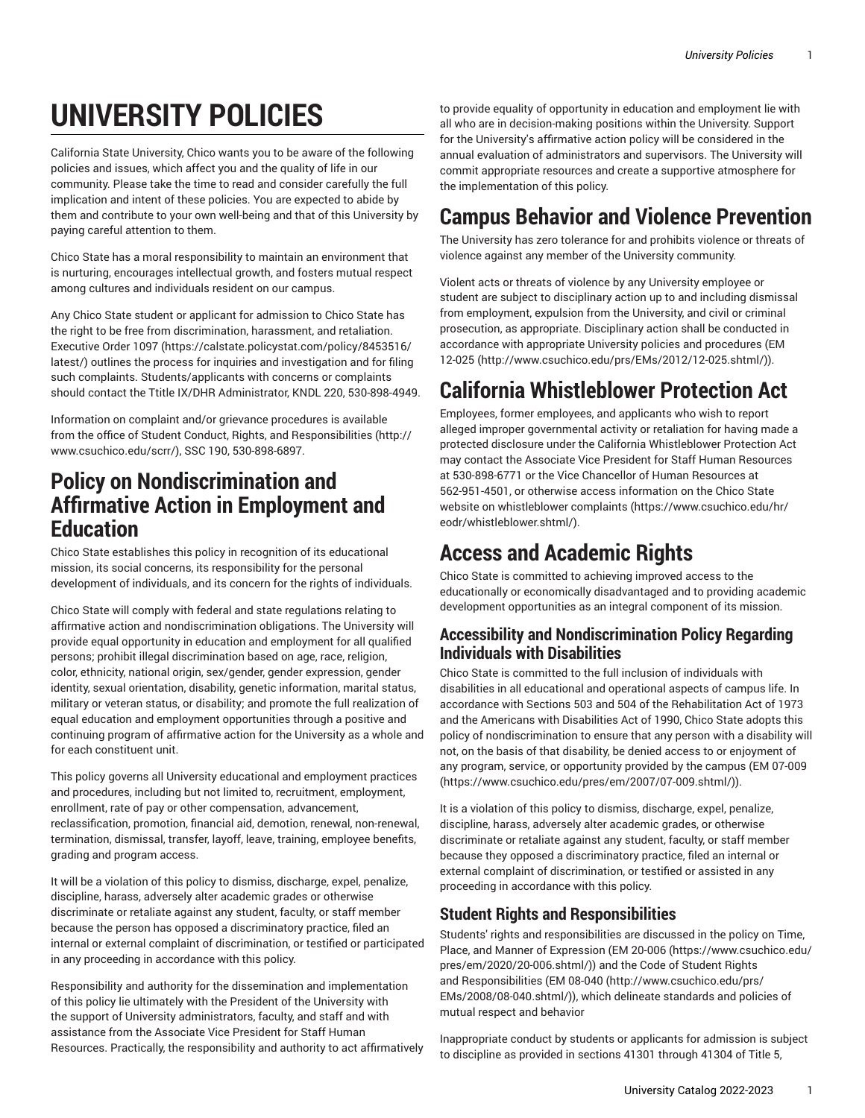# **UNIVERSITY POLICIES**

California State University, Chico wants you to be aware of the following policies and issues, which affect you and the quality of life in our community. Please take the time to read and consider carefully the full implication and intent of these policies. You are expected to abide by them and contribute to your own well-being and that of this University by paying careful attention to them.

Chico State has a moral responsibility to maintain an environment that is nurturing, encourages intellectual growth, and fosters mutual respect among cultures and individuals resident on our campus.

Any Chico State student or applicant for admission to Chico State has the right to be free from discrimination, harassment, and retaliation. [Executive](https://calstate.policystat.com/policy/8453516/latest/) Order 1097 ([https://calstate.policystat.com/policy/8453516/](https://calstate.policystat.com/policy/8453516/latest/) [latest/\)](https://calstate.policystat.com/policy/8453516/latest/) outlines the process for inquiries and investigation and for filing such complaints. Students/applicants with concerns or complaints should contact the Ttitle IX/DHR Administrator, KNDL 220, 530-898-4949.

Information on complaint and/or grievance procedures is available from the office of [Student Conduct, Rights, and Responsibilities \(http://](http://www.csuchico.edu/scrr/) [www.csuchico.edu/scrr/](http://www.csuchico.edu/scrr/)), SSC 190, 530-898-6897.

### **Policy on Nondiscrimination and Affirmative Action in Employment and Education**

Chico State establishes this policy in recognition of its educational mission, its social concerns, its responsibility for the personal development of individuals, and its concern for the rights of individuals.

Chico State will comply with federal and state regulations relating to affirmative action and nondiscrimination obligations. The University will provide equal opportunity in education and employment for all qualified persons; prohibit illegal discrimination based on age, race, religion, color, ethnicity, national origin, sex/gender, gender expression, gender identity, sexual orientation, disability, genetic information, marital status, military or veteran status, or disability; and promote the full realization of equal education and employment opportunities through a positive and continuing program of affirmative action for the University as a whole and for each constituent unit.

This policy governs all University educational and employment practices and procedures, including but not limited to, recruitment, employment, enrollment, rate of pay or other compensation, advancement, reclassification, promotion, financial aid, demotion, renewal, non-renewal, termination, dismissal, transfer, layoff, leave, training, employee benefits, grading and program access.

It will be a violation of this policy to dismiss, discharge, expel, penalize, discipline, harass, adversely alter academic grades or otherwise discriminate or retaliate against any student, faculty, or staff member because the person has opposed a discriminatory practice, filed an internal or external complaint of discrimination, or testified or participated in any proceeding in accordance with this policy.

Responsibility and authority for the dissemination and implementation of this policy lie ultimately with the President of the University with the support of University administrators, faculty, and staff and with assistance from the Associate Vice President for Staff Human Resources. Practically, the responsibility and authority to act affirmatively

to provide equality of opportunity in education and employment lie with all who are in decision-making positions within the University. Support for the University's affirmative action policy will be considered in the annual evaluation of administrators and supervisors. The University will commit appropriate resources and create a supportive atmosphere for the implementation of this policy.

### **Campus Behavior and Violence Prevention**

The University has zero tolerance for and prohibits violence or threats of violence against any member of the University community.

Violent acts or threats of violence by any University employee or student are subject to disciplinary action up to and including dismissal from employment, expulsion from the University, and civil or criminal prosecution, as appropriate. Disciplinary action shall be conducted in accordance with appropriate University policies and procedures [\(EM](http://www.csuchico.edu/prs/EMs/2012/12-025.shtml/) [12-025](http://www.csuchico.edu/prs/EMs/2012/12-025.shtml/) ([http://www.csuchico.edu/prs/EMs/2012/12-025.shtml/\)](http://www.csuchico.edu/prs/EMs/2012/12-025.shtml/)).

# **California Whistleblower Protection Act**

Employees, former employees, and applicants who wish to report alleged improper governmental activity or retaliation for having made a protected disclosure under the California Whistleblower Protection Act may contact the Associate Vice President for Staff Human Resources at 530-898-6771 or the Vice Chancellor of Human Resources at 562-951-4501, or otherwise access information on the Chico State website on [whistleblower complaints \(https://www.csuchico.edu/hr/](https://www.csuchico.edu/hr/eodr/whistleblower.shtml/) [eodr/whistleblower.shtml/\)](https://www.csuchico.edu/hr/eodr/whistleblower.shtml/).

## **Access and Academic Rights**

Chico State is committed to achieving improved access to the educationally or economically disadvantaged and to providing academic development opportunities as an integral component of its mission.

#### **Accessibility and Nondiscrimination Policy Regarding Individuals with Disabilities**

Chico State is committed to the full inclusion of individuals with disabilities in all educational and operational aspects of campus life. In accordance with Sections 503 and 504 of the Rehabilitation Act of 1973 and the Americans with Disabilities Act of 1990, Chico State adopts this policy of nondiscrimination to ensure that any person with a disability will not, on the basis of that disability, be denied access to or enjoyment of any program, service, or opportunity provided by the campus ([EM 07-009](https://www.csuchico.edu/pres/em/2007/07-009.shtml/) [\(https://www.csuchico.edu/pres/em/2007/07-009.shtml/](https://www.csuchico.edu/pres/em/2007/07-009.shtml/))).

It is a violation of this policy to dismiss, discharge, expel, penalize, discipline, harass, adversely alter academic grades, or otherwise discriminate or retaliate against any student, faculty, or staff member because they opposed a discriminatory practice, filed an internal or external complaint of discrimination, or testified or assisted in any proceeding in accordance with this policy.

#### **Student Rights and Responsibilities**

Students' rights and responsibilities are discussed in the policy on Time, Place, and Manner of Expression [\(EM 20-006 \(https://www.csuchico.edu/](https://www.csuchico.edu/pres/em/2020/20-006.shtml/) [pres/em/2020/20-006.shtml/\)](https://www.csuchico.edu/pres/em/2020/20-006.shtml/)) and the Code of Student Rights and Responsibilities ([EM 08-040](http://www.csuchico.edu/prs/EMs/2008/08-040.shtml/) ([http://www.csuchico.edu/prs/](http://www.csuchico.edu/prs/EMs/2008/08-040.shtml/) [EMs/2008/08-040.shtml/\)](http://www.csuchico.edu/prs/EMs/2008/08-040.shtml/)), which delineate standards and policies of mutual respect and behavior

Inappropriate conduct by students or applicants for admission is subject to discipline as provided in sections 41301 through 41304 of Title 5,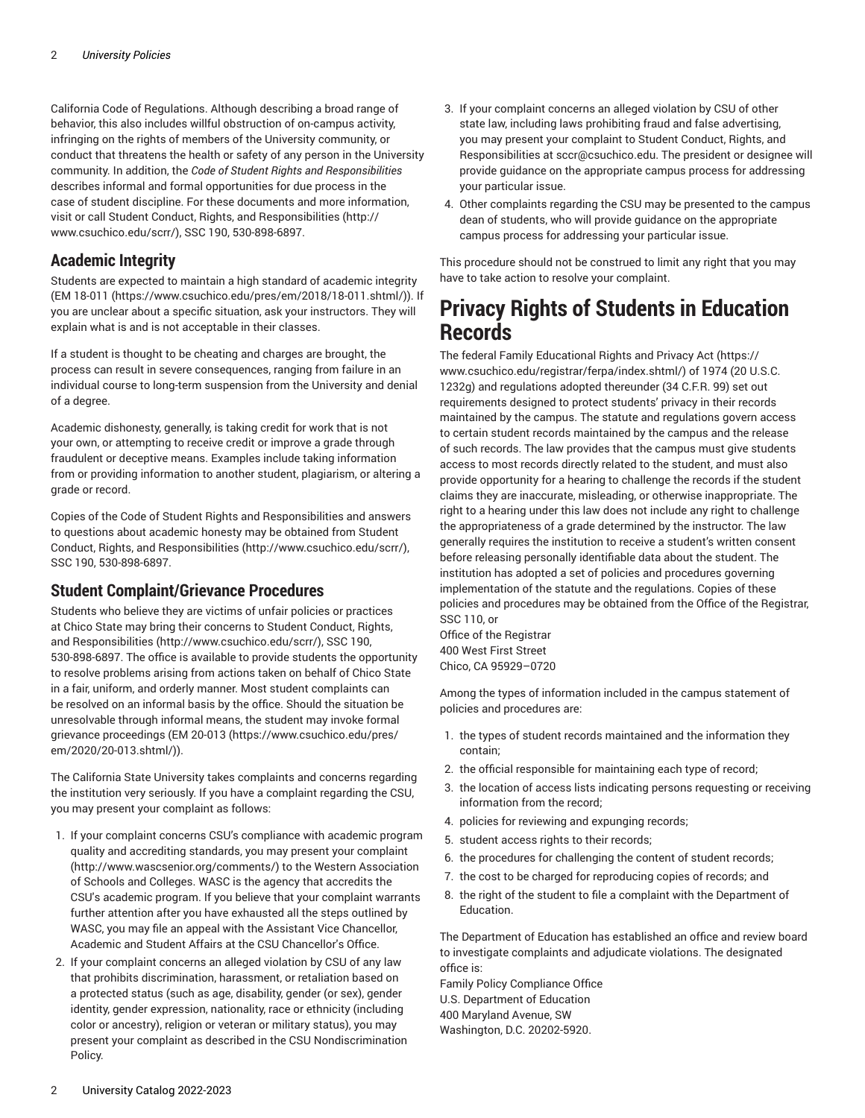California Code of Regulations. Although describing a broad range of behavior, this also includes willful obstruction of on-campus activity, infringing on the rights of members of the University community, or conduct that threatens the health or safety of any person in the University community. In addition, the *Code of Student Rights and Responsibilities* describes informal and formal opportunities for due process in the case of student discipline. For these documents and more information, visit or call [Student Conduct, Rights, and Responsibilities \(http://](http://www.csuchico.edu/scrr/) [www.csuchico.edu/scrr/](http://www.csuchico.edu/scrr/)), SSC 190, 530-898-6897.

#### **Academic Integrity**

Students are expected to maintain a high standard of academic integrity ([EM 18-011](https://www.csuchico.edu/pres/em/2018/18-011.shtml/) ([https://www.csuchico.edu/pres/em/2018/18-011.shtml/\)](https://www.csuchico.edu/pres/em/2018/18-011.shtml/)). If you are unclear about a specific situation, ask your instructors. They will explain what is and is not acceptable in their classes.

If a student is thought to be cheating and charges are brought, the process can result in severe consequences, ranging from failure in an individual course to long-term suspension from the University and denial of a degree.

Academic dishonesty, generally, is taking credit for work that is not your own, or attempting to receive credit or improve a grade through fraudulent or deceptive means. Examples include taking information from or providing information to another student, plagiarism, or altering a grade or record.

Copies of the Code of Student Rights and Responsibilities and answers to questions about academic honesty may be obtained from [Student](http://www.csuchico.edu/scrr/) [Conduct, Rights, and Responsibilities](http://www.csuchico.edu/scrr/) [\(http://www.csuchico.edu/scrr/\)](http://www.csuchico.edu/scrr/), SSC 190, 530-898-6897.

#### **Student Complaint/Grievance Procedures**

Students who believe they are victims of unfair policies or practices at Chico State may bring their concerns to [Student Conduct, Rights,](http://www.csuchico.edu/scrr/) [and Responsibilities \(http://www.csuchico.edu/scrr/\)](http://www.csuchico.edu/scrr/), SSC 190, 530-898-6897. The office is available to provide students the opportunity to resolve problems arising from actions taken on behalf of Chico State in a fair, uniform, and orderly manner. Most student complaints can be resolved on an informal basis by the office. Should the situation be unresolvable through informal means, the student may invoke formal grievance proceedings ([EM 20-013](https://www.csuchico.edu/pres/em/2020/20-013.shtml/) ([https://www.csuchico.edu/pres/](https://www.csuchico.edu/pres/em/2020/20-013.shtml/) [em/2020/20-013.shtml/](https://www.csuchico.edu/pres/em/2020/20-013.shtml/))).

The California State University takes complaints and concerns regarding the institution very seriously. If you have a complaint regarding the CSU, you may present your complaint as follows:

- 1. If your complaint concerns CSU's compliance with academic program quality and accrediting standards, you may present your [complaint](http://www.wascsenior.org/comments/) (<http://www.wascsenior.org/comments/>) to the Western Association of Schools and Colleges. WASC is the agency that accredits the CSU's academic program. If you believe that your complaint warrants further attention after you have exhausted all the steps outlined by WASC, you may file an appeal with the Assistant Vice Chancellor, Academic and Student Affairs at the CSU Chancellor's Office.
- 2. If your complaint concerns an alleged violation by CSU of any law that prohibits discrimination, harassment, or retaliation based on a protected status (such as age, disability, gender (or sex), gender identity, gender expression, nationality, race or ethnicity (including color or ancestry), religion or veteran or military status), you may present your complaint as described in the CSU Nondiscrimination Policy.
- 3. If your complaint concerns an alleged violation by CSU of other state law, including laws prohibiting fraud and false advertising, you may present your complaint to Student Conduct, Rights, and Responsibilities at [sccr@csuchico.edu](mailto:sccr@csuchico.edu). The president or designee will provide guidance on the appropriate campus process for addressing your particular issue.
- 4. Other complaints regarding the CSU may be presented to the campus dean of students, who will provide guidance on the appropriate campus process for addressing your particular issue.

This procedure should not be construed to limit any right that you may have to take action to resolve your complaint.

### **Privacy Rights of Students in Education Records**

The federal Family [Educational](https://www.csuchico.edu/registrar/ferpa/index.shtml/) Rights and Privacy Act [\(https://](https://www.csuchico.edu/registrar/ferpa/index.shtml/) [www.csuchico.edu/registrar/ferpa/index.shtml/](https://www.csuchico.edu/registrar/ferpa/index.shtml/)) of 1974 (20 U.S.C. 1232g) and regulations adopted thereunder (34 C.F.R. 99) set out requirements designed to protect students' privacy in their records maintained by the campus. The statute and regulations govern access to certain student records maintained by the campus and the release of such records. The law provides that the campus must give students access to most records directly related to the student, and must also provide opportunity for a hearing to challenge the records if the student claims they are inaccurate, misleading, or otherwise inappropriate. The right to a hearing under this law does not include any right to challenge the appropriateness of a grade determined by the instructor. The law generally requires the institution to receive a student's written consent before releasing personally identifiable data about the student. The institution has adopted a set of policies and procedures governing implementation of the statute and the regulations. Copies of these policies and procedures may be obtained from the Office of the Registrar, SSC 110, or

Office of the Registrar 400 West First Street Chico, CA 95929–0720

Among the types of information included in the campus statement of policies and procedures are:

- 1. the types of student records maintained and the information they contain;
- 2. the official responsible for maintaining each type of record;
- 3. the location of access lists indicating persons requesting or receiving information from the record;
- 4. policies for reviewing and expunging records;
- 5. student access rights to their records;
- 6. the procedures for challenging the content of student records;
- 7. the cost to be charged for reproducing copies of records; and
- 8. the right of the student to file a complaint with the Department of Education.

The Department of Education has established an office and review board to investigate complaints and adjudicate violations. The designated office is:

Family Policy Compliance Office U.S. Department of Education 400 Maryland Avenue, SW Washington, D.C. 20202-5920.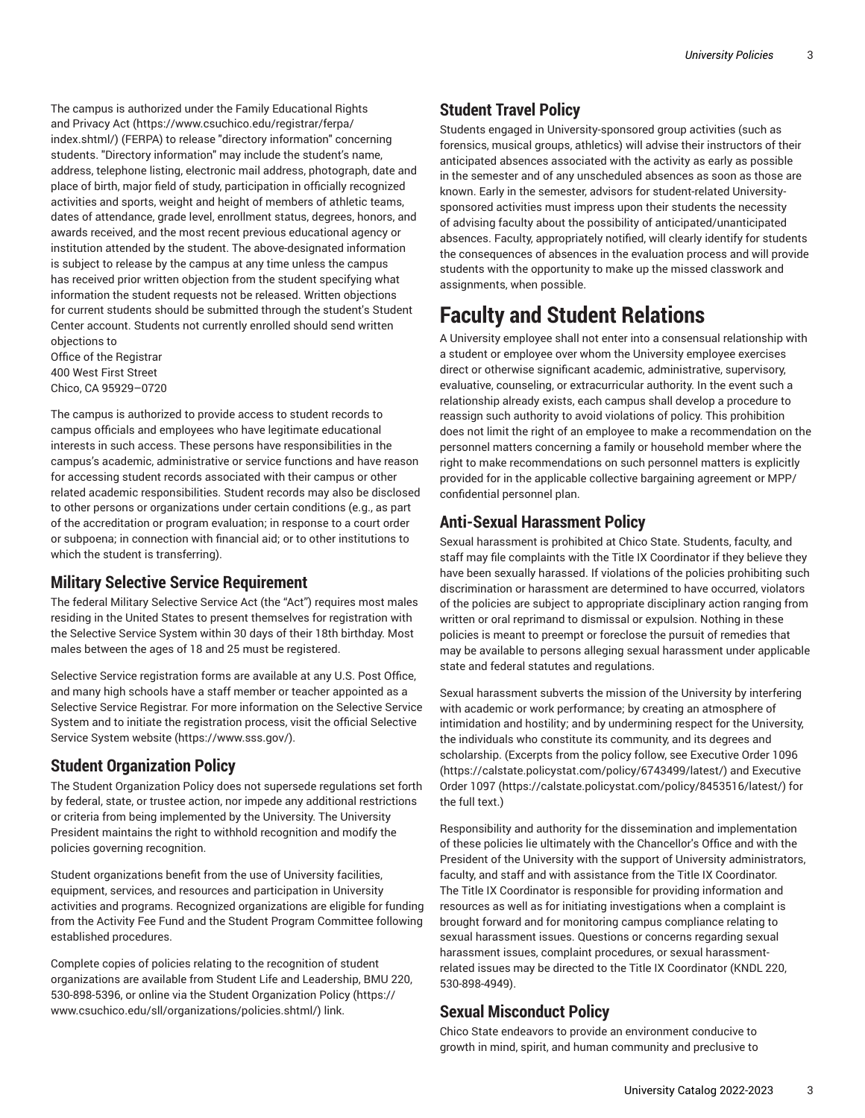The campus is authorized under the Family [Educational](https://www.csuchico.edu/registrar/ferpa/index.shtml/) Rights and [Privacy](https://www.csuchico.edu/registrar/ferpa/index.shtml/) Act ([https://www.csuchico.edu/registrar/ferpa/](https://www.csuchico.edu/registrar/ferpa/index.shtml/) [index.shtml/](https://www.csuchico.edu/registrar/ferpa/index.shtml/)) (FERPA) to release "directory information" concerning students. "Directory information" may include the student's name, address, telephone listing, electronic mail address, photograph, date and place of birth, major field of study, participation in officially recognized activities and sports, weight and height of members of athletic teams, dates of attendance, grade level, enrollment status, degrees, honors, and awards received, and the most recent previous educational agency or institution attended by the student. The above-designated information is subject to release by the campus at any time unless the campus has received prior written objection from the student specifying what information the student requests not be released. Written objections for current students should be submitted through the student's Student Center account. Students not currently enrolled should send written objections to

Office of the Registrar 400 West First Street Chico, CA 95929–0720

The campus is authorized to provide access to student records to campus officials and employees who have legitimate educational interests in such access. These persons have responsibilities in the campus's academic, administrative or service functions and have reason for accessing student records associated with their campus or other related academic responsibilities. Student records may also be disclosed to other persons or organizations under certain conditions (e.g., as part of the accreditation or program evaluation; in response to a court order or subpoena; in connection with financial aid; or to other institutions to which the student is transferring).

#### **Military Selective Service Requirement**

The federal Military Selective Service Act (the "Act") requires most males residing in the United States to present themselves for registration with the Selective Service System within 30 days of their 18th birthday. Most males between the ages of 18 and 25 must be registered.

Selective Service registration forms are available at any U.S. Post Office, and many high schools have a staff member or teacher appointed as a Selective Service Registrar. For more information on the Selective Service System and to initiate the registration process, visit the official [Selective](https://www.sss.gov/) Service System [website \(https://www.sss.gov/\)](https://www.sss.gov/).

#### **Student Organization Policy**

The Student Organization Policy does not supersede regulations set forth by federal, state, or trustee action, nor impede any additional restrictions or criteria from being implemented by the University. The University President maintains the right to withhold recognition and modify the policies governing recognition.

Student organizations benefit from the use of University facilities, equipment, services, and resources and participation in University activities and programs. Recognized organizations are eligible for funding from the Activity Fee Fund and the Student Program Committee following established procedures.

Complete copies of policies relating to the recognition of student organizations are available from Student Life and Leadership, BMU 220, 530-898-5396, or online via the Student [Organization](https://www.csuchico.edu/sll/organizations/policies.shtml/) Policy ([https://](https://www.csuchico.edu/sll/organizations/policies.shtml/) [www.csuchico.edu/sll/organizations/policies.shtml/\)](https://www.csuchico.edu/sll/organizations/policies.shtml/) link.

#### **Student Travel Policy**

Students engaged in University-sponsored group activities (such as forensics, musical groups, athletics) will advise their instructors of their anticipated absences associated with the activity as early as possible in the semester and of any unscheduled absences as soon as those are known. Early in the semester, advisors for student-related Universitysponsored activities must impress upon their students the necessity of advising faculty about the possibility of anticipated/unanticipated absences. Faculty, appropriately notified, will clearly identify for students the consequences of absences in the evaluation process and will provide students with the opportunity to make up the missed classwork and assignments, when possible.

## **Faculty and Student Relations**

A University employee shall not enter into a consensual relationship with a student or employee over whom the University employee exercises direct or otherwise significant academic, administrative, supervisory, evaluative, counseling, or extracurricular authority. In the event such a relationship already exists, each campus shall develop a procedure to reassign such authority to avoid violations of policy. This prohibition does not limit the right of an employee to make a recommendation on the personnel matters concerning a family or household member where the right to make recommendations on such personnel matters is explicitly provided for in the applicable collective bargaining agreement or MPP/ confidential personnel plan.

#### **Anti-Sexual Harassment Policy**

Sexual harassment is prohibited at Chico State. Students, faculty, and staff may file complaints with the Title IX Coordinator if they believe they have been sexually harassed. If violations of the policies prohibiting such discrimination or harassment are determined to have occurred, violators of the policies are subject to appropriate disciplinary action ranging from written or oral reprimand to dismissal or expulsion. Nothing in these policies is meant to preempt or foreclose the pursuit of remedies that may be available to persons alleging sexual harassment under applicable state and federal statutes and regulations.

Sexual harassment subverts the mission of the University by interfering with academic or work performance; by creating an atmosphere of intimidation and hostility; and by undermining respect for the University, the individuals who constitute its community, and its degrees and scholarship. (Excerpts from the policy follow, see [Executive](https://calstate.policystat.com/policy/6743499/latest/) Order 1096 [\(https://calstate.policystat.com/policy/6743499/latest/](https://calstate.policystat.com/policy/6743499/latest/)) and [Executive](https://calstate.policystat.com/policy/8453516/latest/) [Order](https://calstate.policystat.com/policy/8453516/latest/) 1097 ([https://calstate.policystat.com/policy/8453516/latest/\)](https://calstate.policystat.com/policy/8453516/latest/) for the full text.)

Responsibility and authority for the dissemination and implementation of these policies lie ultimately with the Chancellor's Office and with the President of the University with the support of University administrators, faculty, and staff and with assistance from the Title IX Coordinator. The Title IX Coordinator is responsible for providing information and resources as well as for initiating investigations when a complaint is brought forward and for monitoring campus compliance relating to sexual harassment issues. Questions or concerns regarding sexual harassment issues, complaint procedures, or sexual harassmentrelated issues may be directed to the Title IX Coordinator (KNDL 220, 530-898-4949).

#### **Sexual Misconduct Policy**

Chico State endeavors to provide an environment conducive to growth in mind, spirit, and human community and preclusive to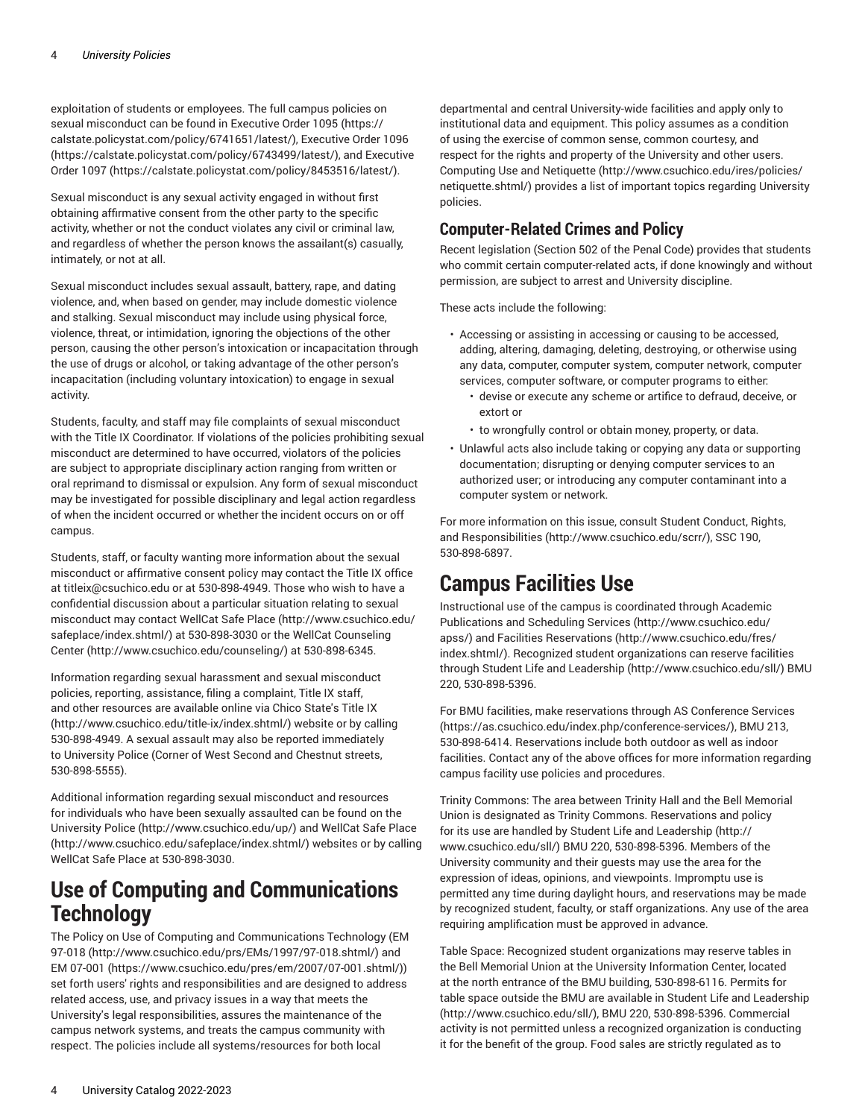exploitation of students or employees. The full campus policies on sexual misconduct can be found in [Executive](https://calstate.policystat.com/policy/6741651/latest/) Order 1095 [\(https://](https://calstate.policystat.com/policy/6741651/latest/) [calstate.policystat.com/policy/6741651/latest/\)](https://calstate.policystat.com/policy/6741651/latest/), [Executive](https://calstate.policystat.com/policy/6743499/latest/) Order 1096 ([https://calstate.policystat.com/policy/6743499/latest/\)](https://calstate.policystat.com/policy/6743499/latest/), and [Executive](https://calstate.policystat.com/policy/8453516/latest/) [Order](https://calstate.policystat.com/policy/8453516/latest/) 1097 [\(https://calstate.policystat.com/policy/8453516/latest/\)](https://calstate.policystat.com/policy/8453516/latest/).

Sexual misconduct is any sexual activity engaged in without first obtaining affirmative consent from the other party to the specific activity, whether or not the conduct violates any civil or criminal law, and regardless of whether the person knows the assailant(s) casually, intimately, or not at all.

Sexual misconduct includes sexual assault, battery, rape, and dating violence, and, when based on gender, may include domestic violence and stalking. Sexual misconduct may include using physical force, violence, threat, or intimidation, ignoring the objections of the other person, causing the other person's intoxication or incapacitation through the use of drugs or alcohol, or taking advantage of the other person's incapacitation (including voluntary intoxication) to engage in sexual activity.

Students, faculty, and staff may file complaints of sexual misconduct with the Title IX Coordinator. If violations of the policies prohibiting sexual misconduct are determined to have occurred, violators of the policies are subject to appropriate disciplinary action ranging from written or oral reprimand to dismissal or expulsion. Any form of sexual misconduct may be investigated for possible disciplinary and legal action regardless of when the incident occurred or whether the incident occurs on or off campus.

Students, staff, or faculty wanting more information about the sexual misconduct or affirmative consent policy may contact the Title IX office at [titleix@csuchico.edu](mailto:titleix@csuchico.edu) or at 530-898-4949. Those who wish to have a confidential discussion about a particular situation relating to sexual misconduct may contact [WellCat](http://www.csuchico.edu/safeplace/index.shtml/) Safe Place ([http://www.csuchico.edu/](http://www.csuchico.edu/safeplace/index.shtml/) [safeplace/index.shtml/](http://www.csuchico.edu/safeplace/index.shtml/)) at 530-898-3030 or the WellCat [Counseling](http://www.csuchico.edu/counseling/) [Center \(http://www.csuchico.edu/counseling/](http://www.csuchico.edu/counseling/)) at 530-898-6345.

Information regarding sexual harassment and sexual misconduct policies, reporting, assistance, filing a complaint, Title IX staff, and other resources are available online via Chico State's [Title](http://www.csuchico.edu/title-ix/index.shtml/) IX ([http://www.csuchico.edu/title-ix/index.shtml/\)](http://www.csuchico.edu/title-ix/index.shtml/) website or by calling 530-898-4949. A sexual assault may also be reported immediately to University Police (Corner of West Second and Chestnut streets, 530-898-5555).

Additional information regarding sexual misconduct and resources for individuals who have been sexually assaulted can be found on the [University](http://www.csuchico.edu/up/) Police (<http://www.csuchico.edu/up/>) and [WellCat](http://www.csuchico.edu/safeplace/index.shtml/) Safe Place (<http://www.csuchico.edu/safeplace/index.shtml/>) websites or by calling WellCat Safe Place at 530-898-3030.

### **Use of Computing and Communications Technology**

The Policy on Use of Computing and Communications Technology ([EM](http://www.csuchico.edu/prs/EMs/1997/97-018.shtml/) [97-018 \(http://www.csuchico.edu/prs/EMs/1997/97-018.shtml/\)](http://www.csuchico.edu/prs/EMs/1997/97-018.shtml/) and [EM 07-001](https://www.csuchico.edu/pres/em/2007/07-001.shtml/) ([https://www.csuchico.edu/pres/em/2007/07-001.shtml/\)](https://www.csuchico.edu/pres/em/2007/07-001.shtml/)) set forth users' rights and responsibilities and are designed to address related access, use, and privacy issues in a way that meets the University's legal responsibilities, assures the maintenance of the campus network systems, and treats the campus community with respect. The policies include all systems/resources for both local

departmental and central University-wide facilities and apply only to institutional data and equipment. This policy assumes as a condition of using the exercise of common sense, common courtesy, and respect for the rights and property of the University and other users. [Computing Use and Netiquette](http://www.csuchico.edu/ires/policies/netiquette.shtml/) ([http://www.csuchico.edu/ires/policies/](http://www.csuchico.edu/ires/policies/netiquette.shtml/) [netiquette.shtml/\)](http://www.csuchico.edu/ires/policies/netiquette.shtml/) provides a list of important topics regarding University policies.

#### **Computer-Related Crimes and Policy**

Recent legislation (Section 502 of the Penal Code) provides that students who commit certain computer-related acts, if done knowingly and without permission, are subject to arrest and University discipline.

These acts include the following:

- Accessing or assisting in accessing or causing to be accessed, adding, altering, damaging, deleting, destroying, or otherwise using any data, computer, computer system, computer network, computer services, computer software, or computer programs to either:
	- devise or execute any scheme or artifice to defraud, deceive, or extort or
	- to wrongfully control or obtain money, property, or data.
- Unlawful acts also include taking or copying any data or supporting documentation; disrupting or denying computer services to an authorized user; or introducing any computer contaminant into a computer system or network.

For more information on this issue, consult [Student Conduct, Rights,](http://www.csuchico.edu/scrr/) [and Responsibilities](http://www.csuchico.edu/scrr/) (<http://www.csuchico.edu/scrr/>), SSC 190, 530-898-6897.

# **Campus Facilities Use**

Instructional use of the campus is coordinated through [Academic](http://www.csuchico.edu/apss/) [Publications](http://www.csuchico.edu/apss/) and Scheduling Services [\(http://www.csuchico.edu/](http://www.csuchico.edu/apss/) [apss/](http://www.csuchico.edu/apss/)) and Facilities [Reservations \(http://www.csuchico.edu/fres/](http://www.csuchico.edu/fres/index.shtml/) [index.shtml/\)](http://www.csuchico.edu/fres/index.shtml/). Recognized student organizations can reserve facilities through Student Life and [Leadership](http://www.csuchico.edu/sll/) ([http://www.csuchico.edu/sll/\)](http://www.csuchico.edu/sll/) BMU 220, 530-898-5396.

For BMU facilities, make reservations through AS [Conference](https://as.csuchico.edu/index.php/conference-services/) Services [\(https://as.csuchico.edu/index.php/conference-services/](https://as.csuchico.edu/index.php/conference-services/)), BMU 213, 530-898-6414. Reservations include both outdoor as well as indoor facilities. Contact any of the above offices for more information regarding campus facility use policies and procedures.

Trinity Commons: The area between Trinity Hall and the Bell Memorial Union is designated as Trinity Commons. Reservations and policy for its use are handled by Student Life and [Leadership \(http://](http://www.csuchico.edu/sll/) [www.csuchico.edu/sll/](http://www.csuchico.edu/sll/)) BMU 220, 530-898-5396. Members of the University community and their guests may use the area for the expression of ideas, opinions, and viewpoints. Impromptu use is permitted any time during daylight hours, and reservations may be made by recognized student, faculty, or staff organizations. Any use of the area requiring amplification must be approved in advance.

Table Space: Recognized student organizations may reserve tables in the Bell Memorial Union at the University Information Center, located at the north entrance of the BMU building, 530-898-6116. Permits for table space outside the BMU are available in Student Life and [Leadership](http://www.csuchico.edu/sll/) [\(http://www.csuchico.edu/sll/\)](http://www.csuchico.edu/sll/), BMU 220, 530-898-5396. Commercial activity is not permitted unless a recognized organization is conducting it for the benefit of the group. Food sales are strictly regulated as to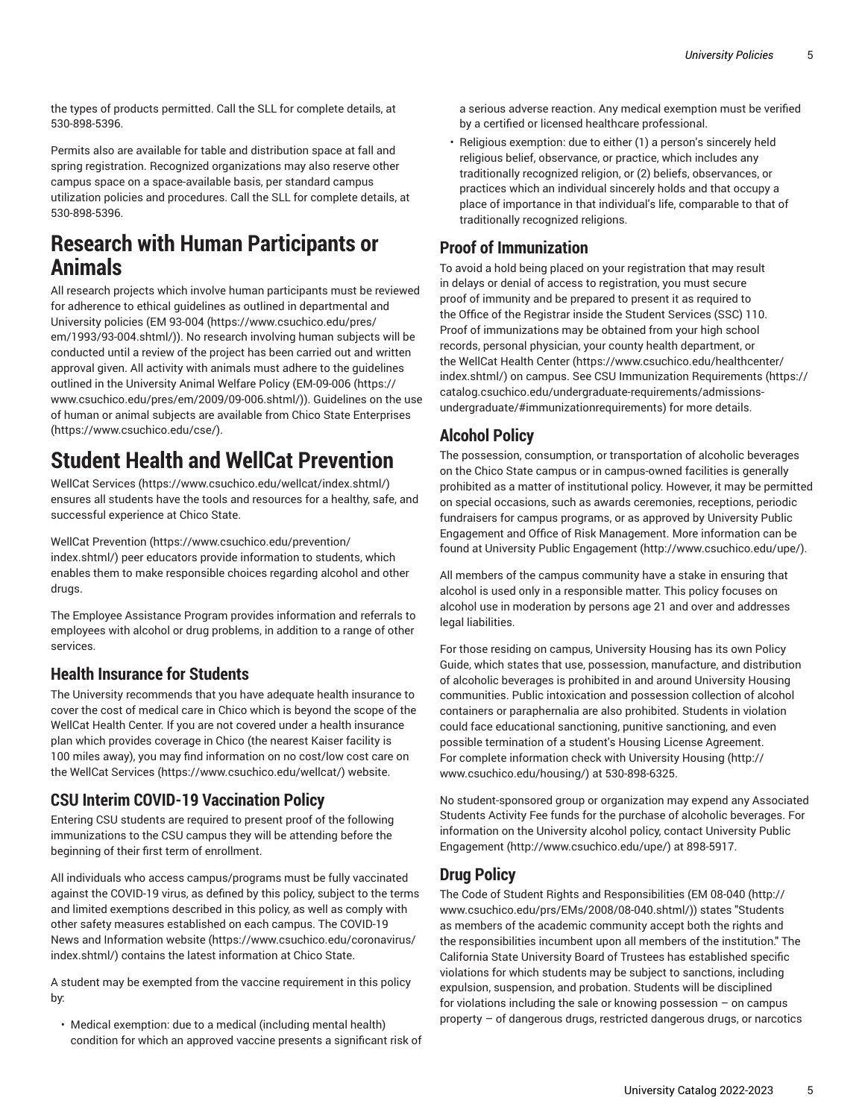the types of products permitted. Call the SLL for complete details, at 530-898-5396.

Permits also are available for table and distribution space at fall and spring registration. Recognized organizations may also reserve other campus space on a space-available basis, per standard campus utilization policies and procedures. Call the SLL for complete details, at 530-898-5396.

### **Research with Human Participants or Animals**

All research projects which involve human participants must be reviewed for adherence to ethical guidelines as outlined in departmental and University policies [\(EM 93-004 \(https://www.csuchico.edu/pres/](https://www.csuchico.edu/pres/em/1993/93-004.shtml/) [em/1993/93-004.shtml/](https://www.csuchico.edu/pres/em/1993/93-004.shtml/))). No research involving human subjects will be conducted until a review of the project has been carried out and written approval given. All activity with animals must adhere to the guidelines outlined in the University Animal Welfare Policy ([EM-09-006](https://www.csuchico.edu/pres/em/2009/09-006.shtml/) [\(https://](https://www.csuchico.edu/pres/em/2009/09-006.shtml/) [www.csuchico.edu/pres/em/2009/09-006.shtml/\)](https://www.csuchico.edu/pres/em/2009/09-006.shtml/)). Guidelines on the use of human or animal subjects are available from [Chico State Enterprises](https://www.csuchico.edu/cse/) (<https://www.csuchico.edu/cse/>).

# **Student Health and WellCat Prevention**

WellCat [Services](https://www.csuchico.edu/wellcat/index.shtml/) ([https://www.csuchico.edu/wellcat/index.shtml/\)](https://www.csuchico.edu/wellcat/index.shtml/) ensures all students have the tools and resources for a healthy, safe, and successful experience at Chico State.

WellCat [Prevention](https://www.csuchico.edu/prevention/index.shtml/) ([https://www.csuchico.edu/prevention/](https://www.csuchico.edu/prevention/index.shtml/) [index.shtml/](https://www.csuchico.edu/prevention/index.shtml/)) peer educators provide information to students, which enables them to make responsible choices regarding alcohol and other drugs.

The Employee Assistance Program provides information and referrals to employees with alcohol or drug problems, in addition to a range of other services.

#### **Health Insurance for Students**

The University recommends that you have adequate health insurance to cover the cost of medical care in Chico which is beyond the scope of the WellCat Health Center. If you are not covered under a health insurance plan which provides coverage in Chico (the nearest Kaiser facility is 100 miles away), you may find information on no cost/low cost care on the WellCat [Services \(https://www.csuchico.edu/wellcat/\)](https://www.csuchico.edu/wellcat/) website.

#### **CSU Interim COVID-19 Vaccination Policy**

Entering CSU students are required to present proof of the following immunizations to the CSU campus they will be attending before the beginning of their first term of enrollment.

All individuals who access campus/programs must be fully vaccinated against the COVID-19 virus, as defined by this policy, subject to the terms and limited exemptions described in this policy, as well as comply with other safety measures established on each campus. The [COVID-19](https://www.csuchico.edu/coronavirus/index.shtml/) [News and Information website \(https://www.csuchico.edu/coronavirus/](https://www.csuchico.edu/coronavirus/index.shtml/) [index.shtml/](https://www.csuchico.edu/coronavirus/index.shtml/)) contains the latest information at Chico State.

A student may be exempted from the vaccine requirement in this policy by:

• Medical exemption: due to a medical (including mental health) condition for which an approved vaccine presents a significant risk of a serious adverse reaction. Any medical exemption must be verified by a certified or licensed healthcare professional.

• Religious exemption: due to either (1) a person's sincerely held religious belief, observance, or practice, which includes any traditionally recognized religion, or (2) beliefs, observances, or practices which an individual sincerely holds and that occupy a place of importance in that individual's life, comparable to that of traditionally recognized religions.

#### **Proof of Immunization**

To avoid a hold being placed on your registration that may result in delays or denial of access to registration, you must secure proof of immunity and be prepared to present it as required to the Office of the Registrar inside the Student Services (SSC) 110. Proof of immunizations may be obtained from your high school records, personal physician, your county health department, or the [WellCat](https://www.csuchico.edu/healthcenter/index.shtml/) Health Center [\(https://www.csuchico.edu/healthcenter/](https://www.csuchico.edu/healthcenter/index.shtml/) [index.shtml/\)](https://www.csuchico.edu/healthcenter/index.shtml/) on campus. See CSU Immunization [Requirements](https://catalog.csuchico.edu/undergraduate-requirements/admissions-undergraduate/#immunizationrequirements) ([https://](https://catalog.csuchico.edu/undergraduate-requirements/admissions-undergraduate/#immunizationrequirements) [catalog.csuchico.edu/undergraduate-requirements/admissions](https://catalog.csuchico.edu/undergraduate-requirements/admissions-undergraduate/#immunizationrequirements)[undergraduate/#immunizationrequirements](https://catalog.csuchico.edu/undergraduate-requirements/admissions-undergraduate/#immunizationrequirements)) for more details.

#### **Alcohol Policy**

The possession, consumption, or transportation of alcoholic beverages on the Chico State campus or in campus-owned facilities is generally prohibited as a matter of institutional policy. However, it may be permitted on special occasions, such as awards ceremonies, receptions, periodic fundraisers for campus programs, or as approved by University Public Engagement and Office of Risk Management. More information can be found at University Public [Engagement](http://www.csuchico.edu/upe/) ([http://www.csuchico.edu/upe/\)](http://www.csuchico.edu/upe/).

All members of the campus community have a stake in ensuring that alcohol is used only in a responsible matter. This policy focuses on alcohol use in moderation by persons age 21 and over and addresses legal liabilities.

For those residing on campus, University Housing has its own Policy Guide, which states that use, possession, manufacture, and distribution of alcoholic beverages is prohibited in and around University Housing communities. Public intoxication and possession collection of alcohol containers or paraphernalia are also prohibited. Students in violation could face educational sanctioning, punitive sanctioning, and even possible termination of a student's Housing License Agreement. For complete information check with [University](http://www.csuchico.edu/housing/) Housing ([http://](http://www.csuchico.edu/housing/) [www.csuchico.edu/housing/\)](http://www.csuchico.edu/housing/) at 530-898-6325.

No student-sponsored group or organization may expend any Associated Students Activity Fee funds for the purchase of alcoholic beverages. For information on the University alcohol policy, contact [University](http://www.csuchico.edu/upe/) Public [Engagement \(http://www.csuchico.edu/upe/](http://www.csuchico.edu/upe/)) at 898-5917.

#### **Drug Policy**

The Code of Student Rights and Responsibilities [\(EM 08-040 \(http://](http://www.csuchico.edu/prs/EMs/2008/08-040.shtml/) [www.csuchico.edu/prs/EMs/2008/08-040.shtml/](http://www.csuchico.edu/prs/EMs/2008/08-040.shtml/))) states "Students as members of the academic community accept both the rights and the responsibilities incumbent upon all members of the institution." The California State University Board of Trustees has established specific violations for which students may be subject to sanctions, including expulsion, suspension, and probation. Students will be disciplined for violations including the sale or knowing possession  $-$  on campus property – of dangerous drugs, restricted dangerous drugs, or narcotics